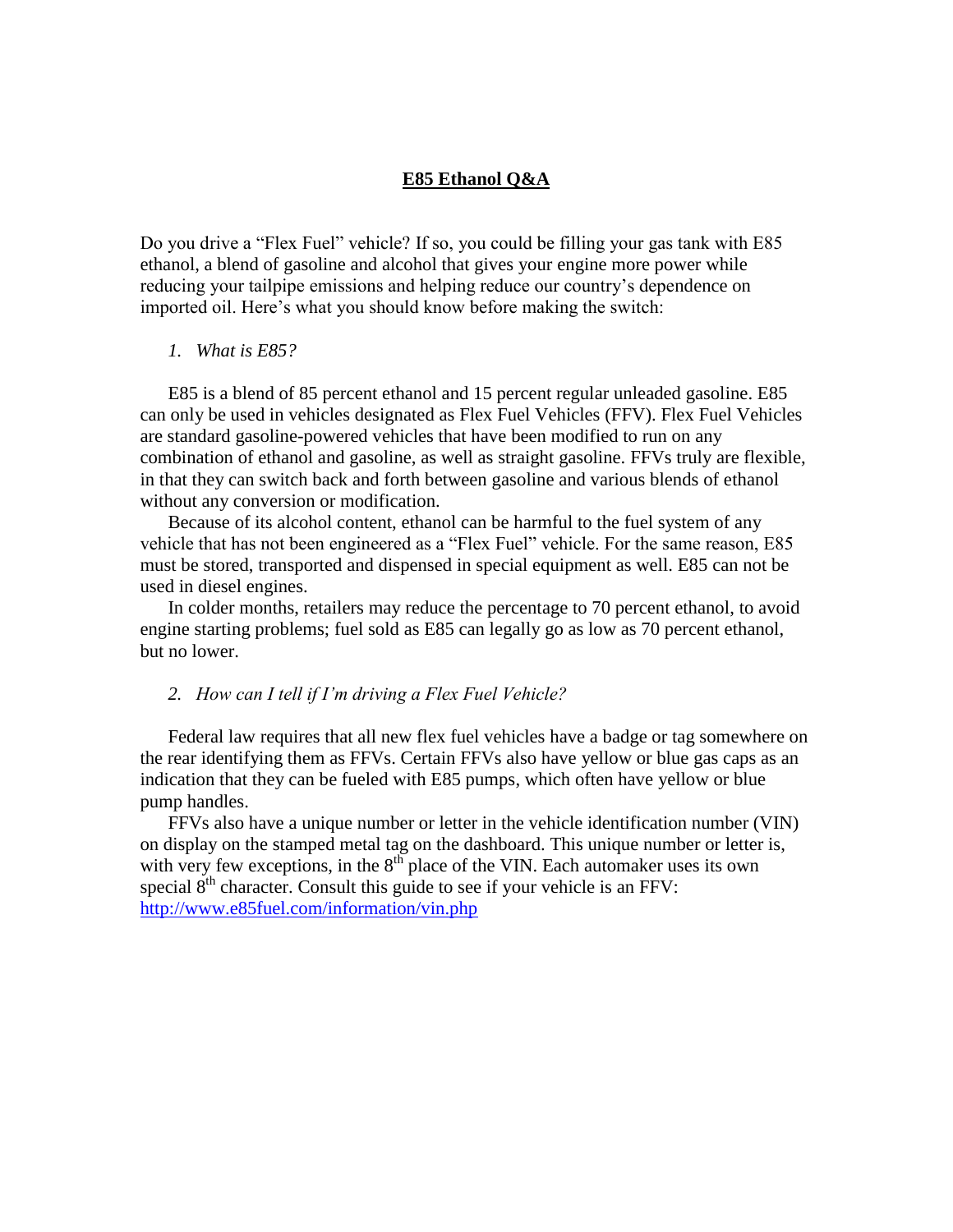# **E85 Ethanol Q&A**

Do you drive a "Flex Fuel" vehicle? If so, you could be filling your gas tank with E85 ethanol, a blend of gasoline and alcohol that gives your engine more power while reducing your tailpipe emissions and helping reduce our country"s dependence on imported oil. Here"s what you should know before making the switch:

#### *1. What is E85?*

E85 is a blend of 85 percent ethanol and 15 percent regular unleaded gasoline. E85 can only be used in vehicles designated as Flex Fuel Vehicles (FFV). Flex Fuel Vehicles are standard gasoline-powered vehicles that have been modified to run on any combination of ethanol and gasoline, as well as straight gasoline. FFVs truly are flexible, in that they can switch back and forth between gasoline and various blends of ethanol without any conversion or modification.

Because of its alcohol content, ethanol can be harmful to the fuel system of any vehicle that has not been engineered as a "Flex Fuel" vehicle. For the same reason, E85 must be stored, transported and dispensed in special equipment as well. E85 can not be used in diesel engines.

In colder months, retailers may reduce the percentage to 70 percent ethanol, to avoid engine starting problems; fuel sold as E85 can legally go as low as 70 percent ethanol, but no lower.

## *2. How can I tell if I'm driving a Flex Fuel Vehicle?*

Federal law requires that all new flex fuel vehicles have a badge or tag somewhere on the rear identifying them as FFVs. Certain FFVs also have yellow or blue gas caps as an indication that they can be fueled with E85 pumps, which often have yellow or blue pump handles.

FFVs also have a unique number or letter in the vehicle identification number (VIN) on display on the stamped metal tag on the dashboard. This unique number or letter is, with very few exceptions, in the  $8<sup>th</sup>$  place of the VIN. Each automaker uses its own special  $8<sup>th</sup>$  character. Consult this guide to see if your vehicle is an FFV: <http://www.e85fuel.com/information/vin.php>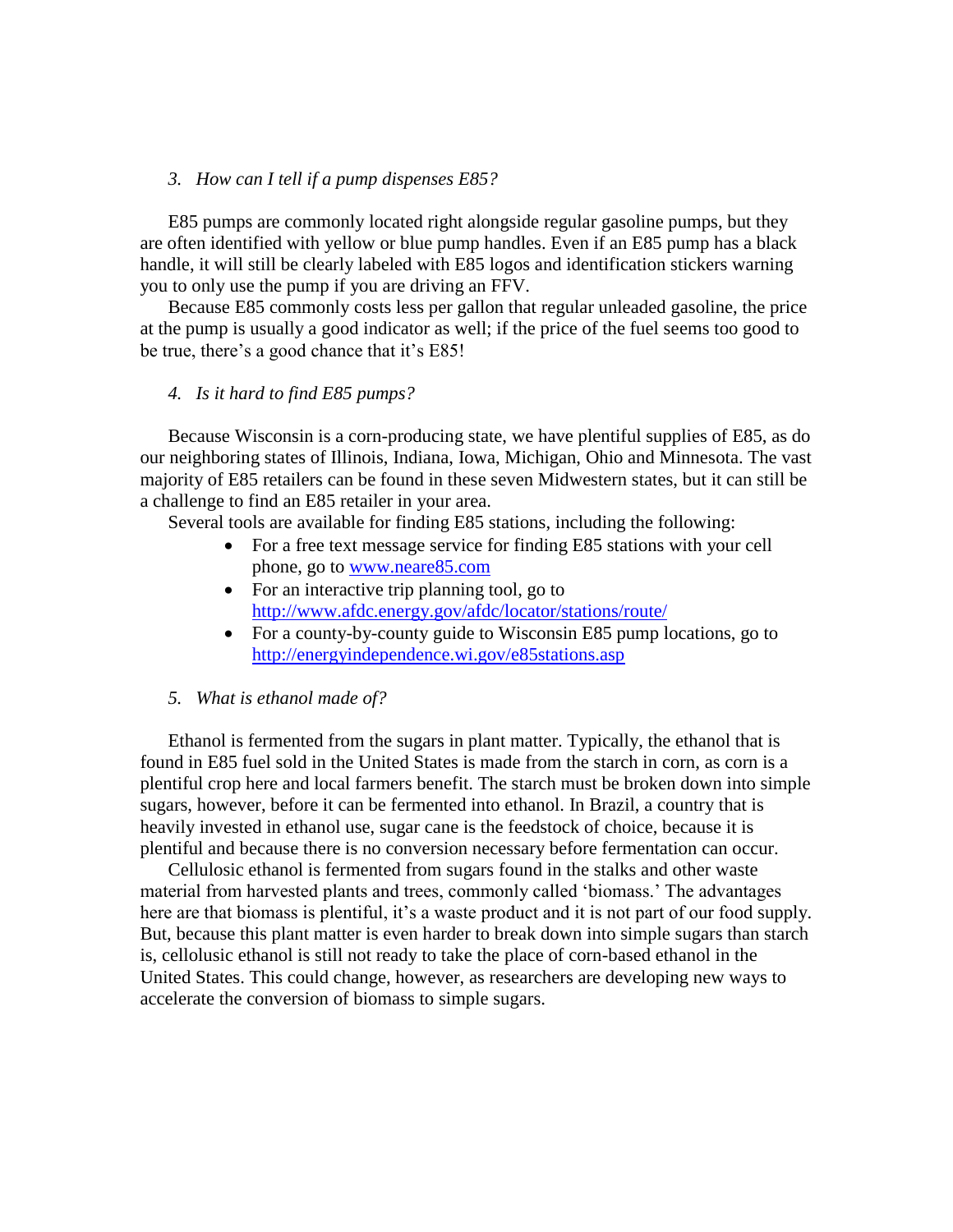## *3. How can I tell if a pump dispenses E85?*

E85 pumps are commonly located right alongside regular gasoline pumps, but they are often identified with yellow or blue pump handles. Even if an E85 pump has a black handle, it will still be clearly labeled with E85 logos and identification stickers warning you to only use the pump if you are driving an FFV.

Because E85 commonly costs less per gallon that regular unleaded gasoline, the price at the pump is usually a good indicator as well; if the price of the fuel seems too good to be true, there's a good chance that it's E85!

## *4. Is it hard to find E85 pumps?*

Because Wisconsin is a corn-producing state, we have plentiful supplies of E85, as do our neighboring states of Illinois, Indiana, Iowa, Michigan, Ohio and Minnesota. The vast majority of E85 retailers can be found in these seven Midwestern states, but it can still be a challenge to find an E85 retailer in your area.

Several tools are available for finding E85 stations, including the following:

- For a free text message service for finding E85 stations with your cell phone, go to [www.neare85.com](http://www.neare85.com/)
- For an interactive trip planning tool, go to <http://www.afdc.energy.gov/afdc/locator/stations/route/>
- For a county-by-county guide to Wisconsin E85 pump locations, go to <http://energyindependence.wi.gov/e85stations.asp>
- *5. What is ethanol made of?*

Ethanol is fermented from the sugars in plant matter. Typically, the ethanol that is found in E85 fuel sold in the United States is made from the starch in corn, as corn is a plentiful crop here and local farmers benefit. The starch must be broken down into simple sugars, however, before it can be fermented into ethanol. In Brazil, a country that is heavily invested in ethanol use, sugar cane is the feedstock of choice, because it is plentiful and because there is no conversion necessary before fermentation can occur.

Cellulosic ethanol is fermented from sugars found in the stalks and other waste material from harvested plants and trees, commonly called "biomass." The advantages here are that biomass is plentiful, it's a waste product and it is not part of our food supply. But, because this plant matter is even harder to break down into simple sugars than starch is, cellolusic ethanol is still not ready to take the place of corn-based ethanol in the United States. This could change, however, as researchers are developing new ways to accelerate the conversion of biomass to simple sugars.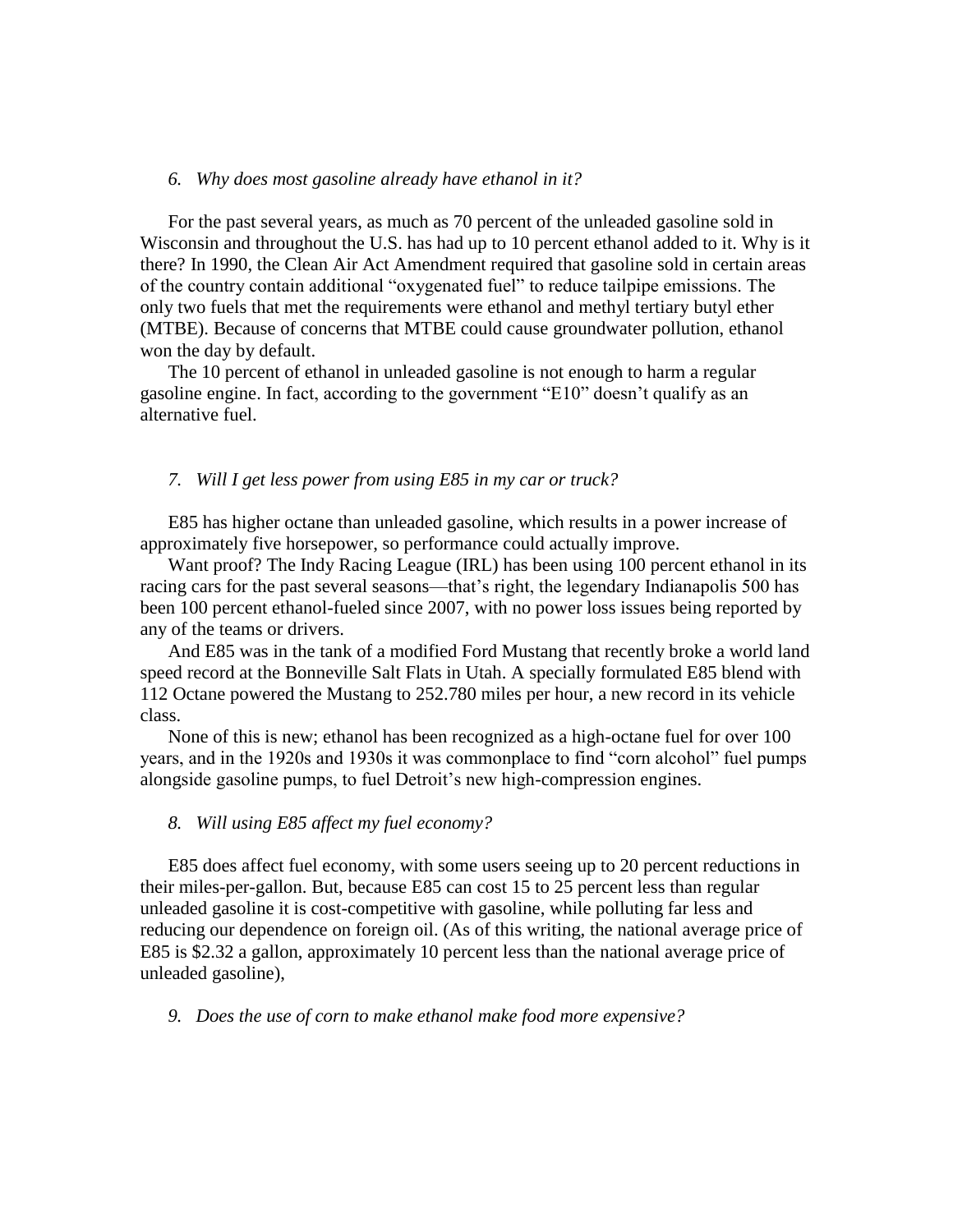#### *6. Why does most gasoline already have ethanol in it?*

For the past several years, as much as 70 percent of the unleaded gasoline sold in Wisconsin and throughout the U.S. has had up to 10 percent ethanol added to it. Why is it there? In 1990, the Clean Air Act Amendment required that gasoline sold in certain areas of the country contain additional "oxygenated fuel" to reduce tailpipe emissions. The only two fuels that met the requirements were ethanol and methyl tertiary butyl ether (MTBE). Because of concerns that MTBE could cause groundwater pollution, ethanol won the day by default.

The 10 percent of ethanol in unleaded gasoline is not enough to harm a regular gasoline engine. In fact, according to the government "E10" doesn"t qualify as an alternative fuel.

### *7. Will I get less power from using E85 in my car or truck?*

E85 has higher octane than unleaded gasoline, which results in a power increase of approximately five horsepower, so performance could actually improve.

Want proof? The Indy Racing League (IRL) has been using 100 percent ethanol in its racing cars for the past several seasons—that"s right, the legendary Indianapolis 500 has been 100 percent ethanol-fueled since 2007, with no power loss issues being reported by any of the teams or drivers.

And E85 was in the tank of a modified Ford Mustang that recently broke a world land speed record at the Bonneville Salt Flats in Utah. A specially formulated E85 blend with 112 Octane powered the Mustang to 252.780 miles per hour, a new record in its vehicle class.

None of this is new; ethanol has been recognized as a high-octane fuel for over 100 years, and in the 1920s and 1930s it was commonplace to find "corn alcohol" fuel pumps alongside gasoline pumps, to fuel Detroit's new high-compression engines.

#### *8. Will using E85 affect my fuel economy?*

E85 does affect fuel economy, with some users seeing up to 20 percent reductions in their miles-per-gallon. But, because E85 can cost 15 to 25 percent less than regular unleaded gasoline it is cost-competitive with gasoline, while polluting far less and reducing our dependence on foreign oil. (As of this writing, the national average price of E85 is \$2.32 a gallon, approximately 10 percent less than the national average price of unleaded gasoline),

*9. Does the use of corn to make ethanol make food more expensive?*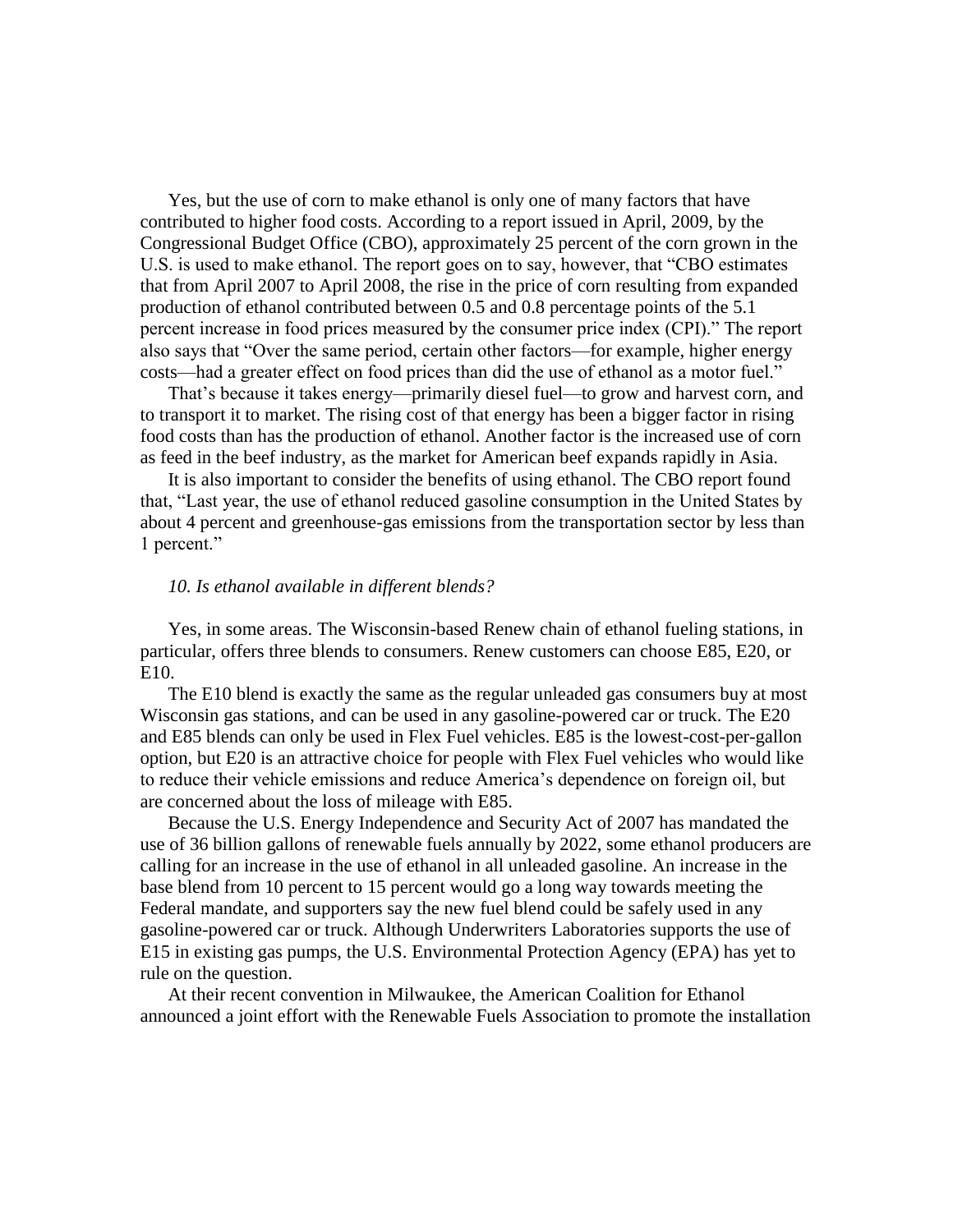Yes, but the use of corn to make ethanol is only one of many factors that have contributed to higher food costs. According to a report issued in April, 2009, by the Congressional Budget Office (CBO), approximately 25 percent of the corn grown in the U.S. is used to make ethanol. The report goes on to say, however, that "CBO estimates that from April 2007 to April 2008, the rise in the price of corn resulting from expanded production of ethanol contributed between 0.5 and 0.8 percentage points of the 5.1 percent increase in food prices measured by the consumer price index (CPI)." The report also says that "Over the same period, certain other factors—for example, higher energy costs—had a greater effect on food prices than did the use of ethanol as a motor fuel."

That's because it takes energy—primarily diesel fuel—to grow and harvest corn, and to transport it to market. The rising cost of that energy has been a bigger factor in rising food costs than has the production of ethanol. Another factor is the increased use of corn as feed in the beef industry, as the market for American beef expands rapidly in Asia.

It is also important to consider the benefits of using ethanol. The CBO report found that, "Last year, the use of ethanol reduced gasoline consumption in the United States by about 4 percent and greenhouse-gas emissions from the transportation sector by less than 1 percent."

#### *10. Is ethanol available in different blends?*

Yes, in some areas. The Wisconsin-based Renew chain of ethanol fueling stations, in particular, offers three blends to consumers. Renew customers can choose E85, E20, or E10.

The E10 blend is exactly the same as the regular unleaded gas consumers buy at most Wisconsin gas stations, and can be used in any gasoline-powered car or truck. The E20 and E85 blends can only be used in Flex Fuel vehicles. E85 is the lowest-cost-per-gallon option, but E20 is an attractive choice for people with Flex Fuel vehicles who would like to reduce their vehicle emissions and reduce America"s dependence on foreign oil, but are concerned about the loss of mileage with E85.

Because the U.S. Energy Independence and Security Act of 2007 has mandated the use of 36 billion gallons of renewable fuels annually by 2022, some ethanol producers are calling for an increase in the use of ethanol in all unleaded gasoline. An increase in the base blend from 10 percent to 15 percent would go a long way towards meeting the Federal mandate, and supporters say the new fuel blend could be safely used in any gasoline-powered car or truck. Although Underwriters Laboratories supports the use of E15 in existing gas pumps, the U.S. Environmental Protection Agency (EPA) has yet to rule on the question.

At their recent convention in Milwaukee, the American Coalition for Ethanol announced a joint effort with the Renewable Fuels Association to promote the installation